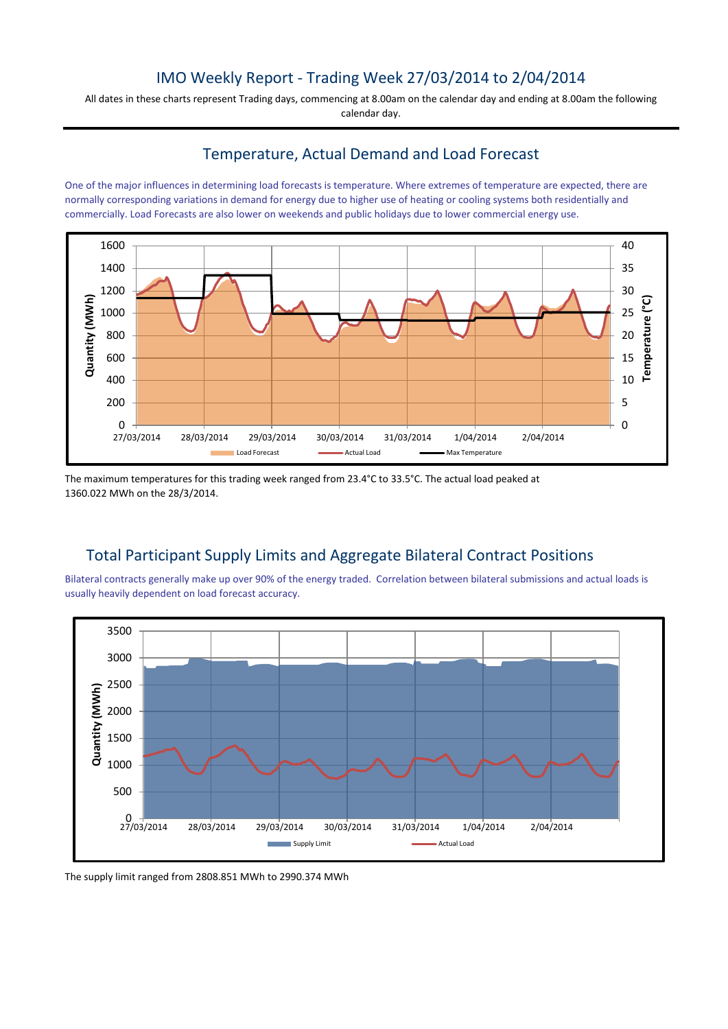# IMO Weekly Report - Trading Week 27/03/2014 to 2/04/2014

All dates in these charts represent Trading days, commencing at 8.00am on the calendar day and ending at 8.00am the following calendar day.

## Temperature, Actual Demand and Load Forecast

One of the major influences in determining load forecasts is temperature. Where extremes of temperature are expected, there are normally corresponding variations in demand for energy due to higher use of heating or cooling systems both residentially and commercially. Load Forecasts are also lower on weekends and public holidays due to lower commercial energy use.



The maximum temperatures for this trading week ranged from 23.4°C to 33.5°C. The actual load peaked at 1360.022 MWh on the 28/3/2014.

# Total Participant Supply Limits and Aggregate Bilateral Contract Positions

Bilateral contracts generally make up over 90% of the energy traded. Correlation between bilateral submissions and actual loads is usually heavily dependent on load forecast accuracy.



The supply limit ranged from 2808.851 MWh to 2990.374 MWh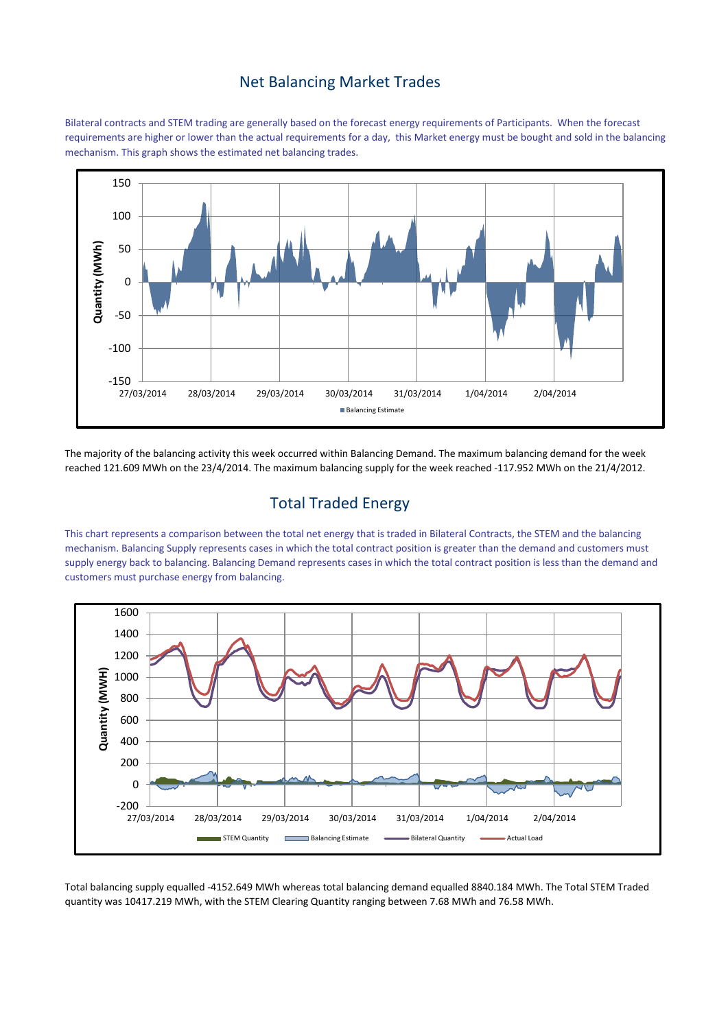#### Net Balancing Market Trades

Bilateral contracts and STEM trading are generally based on the forecast energy requirements of Participants. When the forecast requirements are higher or lower than the actual requirements for a day, this Market energy must be bought and sold in the balancing mechanism. This graph shows the estimated net balancing trades.



The majority of the balancing activity this week occurred within Balancing Demand. The maximum balancing demand for the week reached 121.609 MWh on the 23/4/2014. The maximum balancing supply for the week reached -117.952 MWh on the 21/4/2012.

# Total Traded Energy

This chart represents a comparison between the total net energy that is traded in Bilateral Contracts, the STEM and the balancing mechanism. Balancing Supply represents cases in which the total contract position is greater than the demand and customers must supply energy back to balancing. Balancing Demand represents cases in which the total contract position is less than the demand and customers must purchase energy from balancing.



Total balancing supply equalled -4152.649 MWh whereas total balancing demand equalled 8840.184 MWh. The Total STEM Traded quantity was 10417.219 MWh, with the STEM Clearing Quantity ranging between 7.68 MWh and 76.58 MWh.